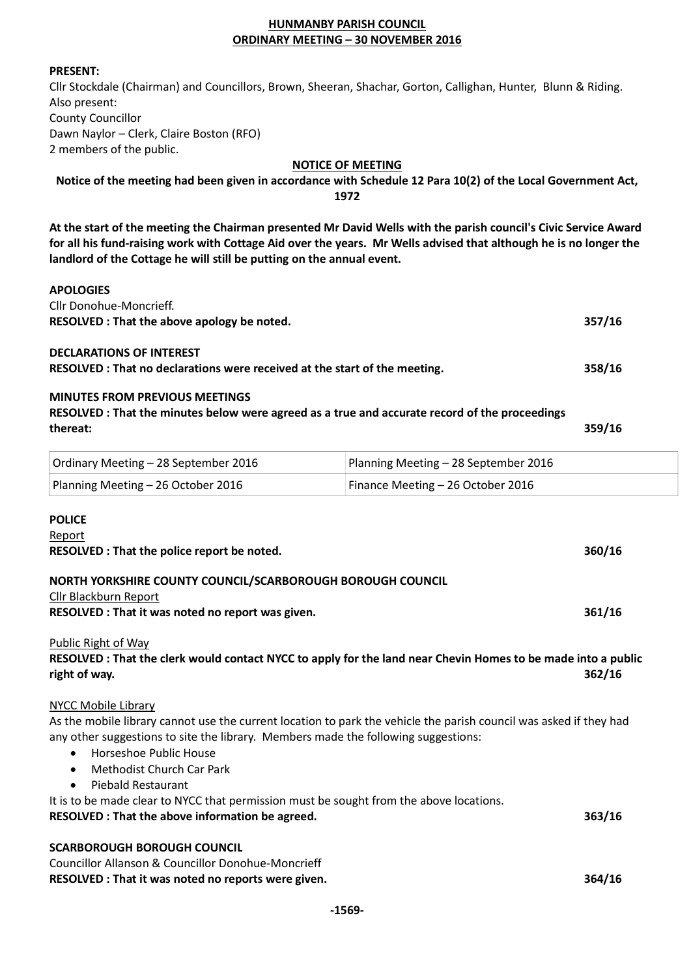### HUNMANBY PARISH COUNCIL ORDINARY MEETING – 30 NOVEMBER 2016

#### PRESENT:

Cllr Stockdale (Chairman) and Councillors, Brown, Sheeran, Shachar, Gorton, Callighan, Hunter, Blunn & Riding. Also present: County Councillor Dawn Naylor – Clerk, Claire Boston (RFO) 2 members of the public.

### NOTICE OF MEETING

Notice of the meeting had been given in accordance with Schedule 12 Para 10(2) of the Local Government Act,

1972

At the start of the meeting the Chairman presented Mr David Wells with the parish council's Civic Service Award for all his fund-raising work with Cottage Aid over the years. Mr Wells advised that although he is no longer the landlord of the Cottage he will still be putting on the annual event.

#### APOLOGIES

| Cllr Donohue-Moncrieff.                                                                        |                                      |        |
|------------------------------------------------------------------------------------------------|--------------------------------------|--------|
| RESOLVED : That the above apology be noted.                                                    |                                      | 357/16 |
| <b>DECLARATIONS OF INTEREST</b>                                                                |                                      |        |
| RESOLVED : That no declarations were received at the start of the meeting.                     |                                      | 358/16 |
| <b>MINUTES FROM PREVIOUS MEETINGS</b>                                                          |                                      |        |
| RESOLVED : That the minutes below were agreed as a true and accurate record of the proceedings |                                      |        |
| thereat:                                                                                       |                                      | 359/16 |
| Ordinary Meeting - 28 September 2016                                                           | Planning Meeting - 28 September 2016 |        |
| Planning Meeting - 26 October 2016                                                             | Finance Meeting - 26 October 2016    |        |
| <b>POLICE</b>                                                                                  |                                      |        |
| Report                                                                                         |                                      |        |
| RESOLVED : That the police report be noted.                                                    |                                      | 360/16 |
| NORTH YORKSHIRE COUNTY COUNCIL/SCARBOROUGH BOROUGH COUNCIL                                     |                                      |        |
| Cllr Blackburn Report                                                                          |                                      |        |

#### Public Right of Way

RESOLVED : That the clerk would contact NYCC to apply for the land near Chevin Homes to be made into a public right of way. 362/16

RESOLVED : That it was noted no report was given. **361/16** and the set of the set of the set of the set of the set of the set of the set of the set of the set of the set of the set of the set of the set of the set of the s

#### NYCC Mobile Library

As the mobile library cannot use the current location to park the vehicle the parish council was asked if they had any other suggestions to site the library. Members made the following suggestions:

- Horseshoe Public House
- Methodist Church Car Park
- Piebald Restaurant

It is to be made clear to NYCC that permission must be sought from the above locations. RESOLVED : That the above information be agreed. 363/16

#### SCARBOROUGH BOROUGH COUNCIL

Councillor Allanson & Councillor Donohue-Moncrieff RESOLVED : That it was noted no reports were given. 364/16